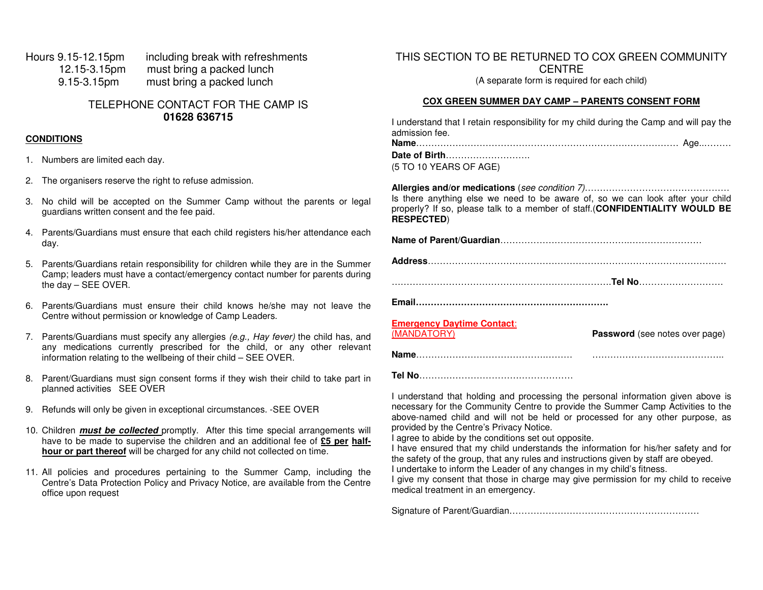Hours 9.15-12.15pm including break with refreshments 12.15-3.15pm must bring a packed lunch 9.15-3.15pm must bring a packed lunch

> TELEPHONE CONTACT FOR THE CAMP IS **01628 636715**

#### **CONDITIONS**

- 1. Numbers are limited each day.
- 2. The organisers reserve the right to refuse admission.
- 3. No child will be accepted on the Summer Camp without the parents or legal guardians written consent and the fee paid.
- 4. Parents/Guardians must ensure that each child registers his/her attendance each day.
- 5. Parents/Guardians retain responsibility for children while they are in the Summer Camp; leaders must have a contact/emergency contact number for parents during the day – SEE OVER.
- 6. Parents/Guardians must ensure their child knows he/she may not leave the Centre without permission or knowledge of Camp Leaders.
- 7. Parents/Guardians must specify any allergies (e.g., Hay fever) the child has, and any medications currently prescribed for the child, or any other relevant information relating to the wellbeing of their child – SEE OVER.
- 8. Parent/Guardians must sign consent forms if they wish their child to take part in planned activities SEE OVER
- 9. Refunds will only be given in exceptional circumstances. -SEE OVER
- 10. Children **must be collected** promptly. After this time special arrangements will have to be made to supervise the children and an additional fee of **£5 per halfhour or part thereof** will be charged for any child not collected on time.
- 11. All policies and procedures pertaining to the Summer Camp, including the Centre's Data Protection Policy and Privacy Notice, are available from the Centre office upon request

THIS SECTION TO BE RETURNED TO COX GREEN COMMUNITY **CENTRE** (A separate form is required for each child)

#### **COX GREEN SUMMER DAY CAMP – PARENTS CONSENT FORM**

| I understand that I retain responsibility for my child during the Camp and will pay the<br>admission fee.                                                                          |
|------------------------------------------------------------------------------------------------------------------------------------------------------------------------------------|
| Date of Birth                                                                                                                                                                      |
| (5 TO 10 YEARS OF AGE)                                                                                                                                                             |
| Is there anything else we need to be aware of, so we can look after your child<br>properly? If so, please talk to a member of staff.(CONFIDENTIALITY WOULD BE<br><b>RESPECTED)</b> |

**Name of Parent/Guardian**…………………………………….……………………

……………………………………………………………….**Tel No**……………………….

**Name**…………………………………….……… ……………………………………..

**Email……………………………………………………….** 

**Emergency Daytime Contact**:

**Password** (see notes over page)

**Tel No**……………………………………………

I understand that holding and processing the personal information given above is necessary for the Community Centre to provide the Summer Camp Activities to the above-named child and will not be held or processed for any other purpose, as provided by the Centre's Privacy Notice.

I agree to abide by the conditions set out opposite.

 I have ensured that my child understands the information for his/her safety and for the safety of the group, that any rules and instructions given by staff are obeyed.

I undertake to inform the Leader of any changes in my child's fitness.

I give my consent that those in charge may give permission for my child to receive medical treatment in an emergency.

Signature of Parent/Guardian………………………………………………………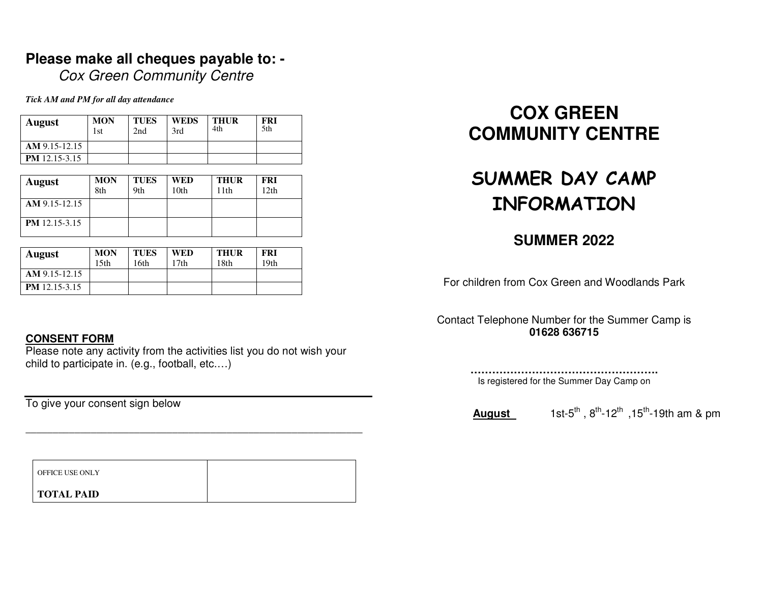### **Please make all cheques payable to: -**

Cox Green Community Centre

*Tick AM and PM for all day attendance* 

| <b>August</b>        | <b>MON</b><br>1st | <b>TUES</b><br>2nd | <b>WEDS</b><br>3rd | THUR<br>4th | <b>FRI</b><br>5th |
|----------------------|-------------------|--------------------|--------------------|-------------|-------------------|
| $AM$ 9.15-12.15      |                   |                    |                    |             |                   |
| <b>PM</b> 12.15-3.15 |                   |                    |                    |             |                   |
|                      |                   |                    |                    |             |                   |

| <b>August</b>        | <b>MON</b><br>8th | <b>TUES</b><br>9th | WED<br>10 <sub>th</sub> | <b>THUR</b><br>11th | <b>FRI</b><br>12th |
|----------------------|-------------------|--------------------|-------------------------|---------------------|--------------------|
| AM 9.15-12.15        |                   |                    |                         |                     |                    |
| <b>PM</b> 12.15-3.15 |                   |                    |                         |                     |                    |

| <b>August</b>        | <b>MON</b><br>15th | <b>TUES</b><br>16th | WED<br>17th | <b>THUR</b><br>18th | <b>FRI</b><br>19 <sub>th</sub> |
|----------------------|--------------------|---------------------|-------------|---------------------|--------------------------------|
| AM 9.15-12.15        |                    |                     |             |                     |                                |
| <b>PM</b> 12.15-3.15 |                    |                     |             |                     |                                |

#### **CONSENT FORM**

 Please note any activity from the activities list you do not wish your child to participate in. (e.g., football, etc.…)

To give your consent sign below

| OFFICE USE ONLY   |  |
|-------------------|--|
| <b>TOTAL PAID</b> |  |

\_\_\_\_\_\_\_\_\_\_\_\_\_\_\_\_\_\_\_\_\_\_\_\_\_\_\_\_\_\_\_\_\_\_\_\_\_\_\_\_\_\_\_\_\_\_\_\_\_\_\_\_\_\_\_\_\_\_\_\_\_\_

## **COX GREEN COMMUNITY CENTRE**

# **SUMMER DAY CAMP INFORMATION**

## **SUMMER 2022**

For children from Cox Green and Woodlands Park

Contact Telephone Number for the Summer Camp is **01628 636715** 

> **…………………………………………….** Is registered for the Summer Day Camp on

**August 1st-5<sup>th</sup>**,  $8^{th}$ -12<sup>th</sup>, 15<sup>th</sup>-19th am & pm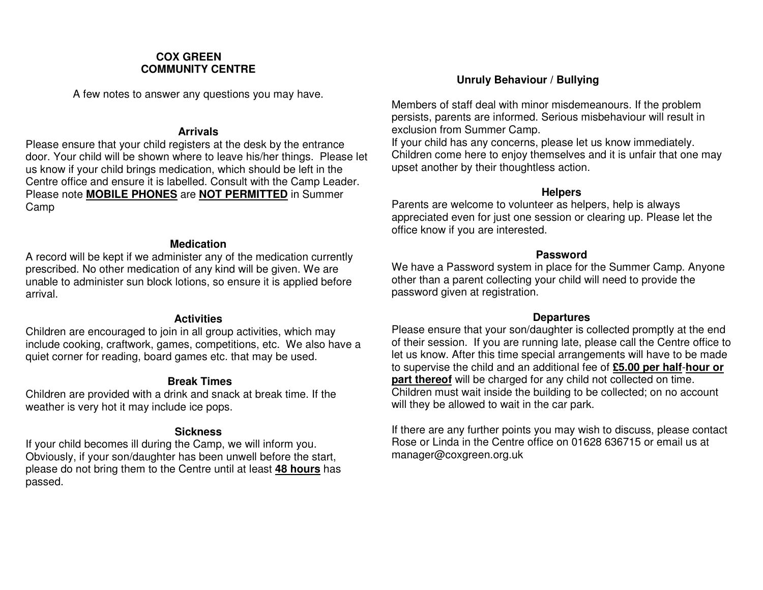#### **COX GREEN COMMUNITY CENTRE**

A few notes to answer any questions you may have.

#### **Arrivals**

 Please ensure that your child registers at the desk by the entrance door. Your child will be shown where to leave his/her things. Please let us know if your child brings medication, which should be left in the Centre office and ensure it is labelled. Consult with the Camp Leader. Please note **MOBILE PHONES** are **NOT PERMITTED** in Summer Camp

#### **Medication**

 A record will be kept if we administer any of the medication currently prescribed. No other medication of any kind will be given. We are unable to administer sun block lotions, so ensure it is applied before arrival.

#### **Activities**

 Children are encouraged to join in all group activities, which may include cooking, craftwork, games, competitions, etc. We also have a quiet corner for reading, board games etc. that may be used.

#### **Break Times**

 Children are provided with a drink and snack at break time. If the weather is very hot it may include ice pops.

#### **Sickness**

 If your child becomes ill during the Camp, we will inform you. Obviously, if your son/daughter has been unwell before the start, please do not bring them to the Centre until at least **48 hours** has passed.

#### **Unruly Behaviour / Bullying**

Members of staff deal with minor misdemeanours. If the problem persists, parents are informed. Serious misbehaviour will result in exclusion from Summer Camp.

 If your child has any concerns, please let us know immediately. Children come here to enjoy themselves and it is unfair that one may upset another by their thoughtless action.

#### **Helpers**

 Parents are welcome to volunteer as helpers, help is always appreciated even for just one session or clearing up. Please let the office know if you are interested.

#### **Password**

 We have a Password system in place for the Summer Camp. Anyone other than a parent collecting your child will need to provide the password given at registration.

#### **Departures**

 Please ensure that your son/daughter is collected promptly at the end of their session. If you are running late, please call the Centre office to let us know. After this time special arrangements will have to be made to supervise the child and an additional fee of **£5.00 per half**-**hour or part thereof** will be charged for any child not collected on time. Children must wait inside the building to be collected; on no account will they be allowed to wait in the car park.

If there are any further points you may wish to discuss, please contact Rose or Linda in the Centre office on 01628 636715 or email us at manager@coxgreen.org.uk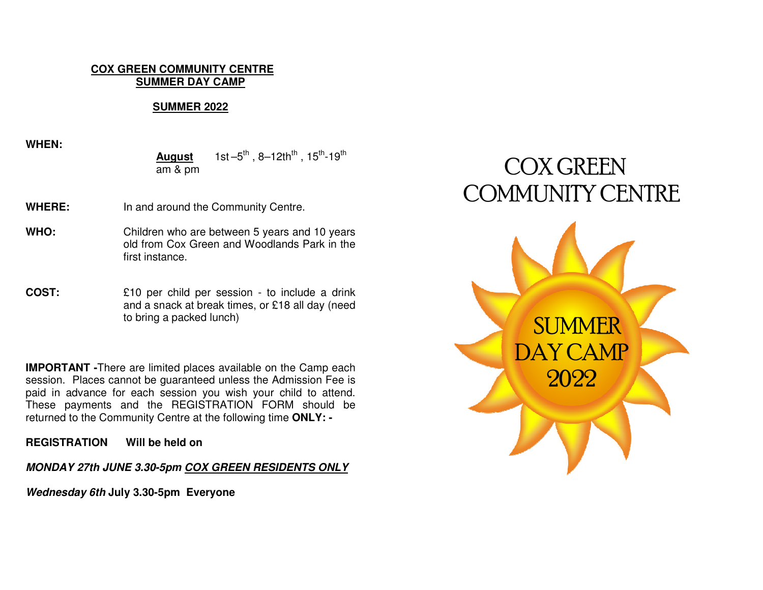#### **COX GREEN COMMUNITY CENTRE SUMMER DAY CAMP**

#### **SUMMER 2022**

**WHEN:** 

**August** 1st  $-5^{th}$ , 8-12th<sup>th</sup>, 15<sup>th</sup>-19<sup>th</sup> am & pm

**WHERE:** In and around the Community Centre.

**WHO:** Children who are between 5 years and 10 years old from Cox Green and Woodlands Park in the first instance.

**COST:** £10 per child per session - to include a drink and a snack at break times, or £18 all day (need to bring a packed lunch)

**IMPORTANT -**There are limited places available on the Camp each session. Places cannot be guaranteed unless the Admission Fee is paid in advance for each session you wish your child to attend. These payments and the REGISTRATION FORM should be returned to the Community Centre at the following time **ONLY: -** 

**REGISTRATION Will be held on** 

**MONDAY 27th JUNE 3.30-5pm COX GREEN RESIDENTS ONLY** 

**Wednesday 6th July 3.30-5pm Everyone**